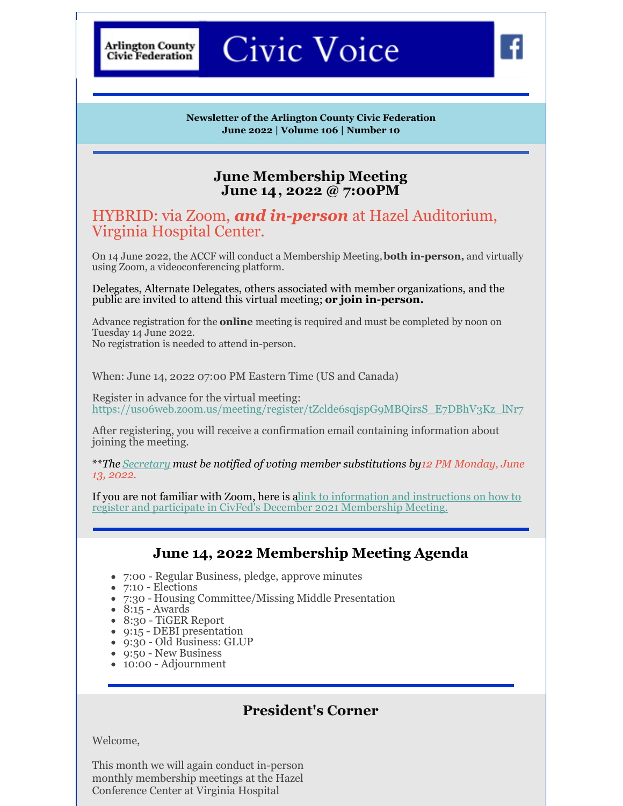**Arlington County Civic Federation** 

# Civic Voice

**Newsletter of the Arlington County Civic Federation June 2022 | Volume 106 | Number 10**

#### **June Membership Meeting June 14, 2022 @ 7:00PM**

### HYBRID: via Zoom, *and in-person* at Hazel Auditorium, Virginia Hospital Center.

On 14 June 2022, the ACCF will conduct a Membership Meeting,**both in-person,** and virtually using Zoom, a videoconferencing platform.

Delegates, Alternate Delegates, others associated with member organizations, and the public are invited to attend this virtual meeting; **or join in-person.**

Advance registration for the **online** meeting is required and must be completed by noon on Tuesday 14 June 2022. No registration is needed to attend in-person.

When: June 14, 2022 07:00 PM Eastern Time (US and Canada)

Register in advance for the virtual meeting: [https://us06web.zoom.us/meeting/register/tZclde6sqjspG9MBQirsS\\_E7DBhV3Kz\\_lNr7](https://us06web.zoom.us/meeting/register/tZclde6sqjspG9MBQirsS_E7DBhV3Kz_lNr7)

After registering, you will receive a confirmation email containing information about joining the meeting.

\*\**The [Secretary](mailto:Secretary@civfed.org) must be notified of voting member substitutions by12 PM Monday, June 13, 2022.*

If you [a](http://www.civfed.org/newContent/_general/ACCF Zoom Instructions 2020-11ff.pdf)re not familiar with Zoom, here is a link to information and instructions on how to register and participate in CivFed's December 2021 [Membership](http://www.civfed.org/newContent/_general/ACCF Zoom Instructions 2020-11ff.pdf) Meeting.

#### **June 14, 2022 Membership Meeting Agenda**

- 7:00 Regular Business, pledge, approve minutes
- 7:10 Elections
- 7:30 Housing Committee/Missing Middle Presentation
- $\bullet$  8:15 Awards
- 8:30 TiGER Report
- 9:15 DEBI presentation
- 9:30 Old Business: GLUP
- 9:50 New Business
- 10:00 Adjournment

# **President's Corner**

Welcome,

This month we will again conduct in-person monthly membership meetings at the Hazel Conference Center at Virginia Hospital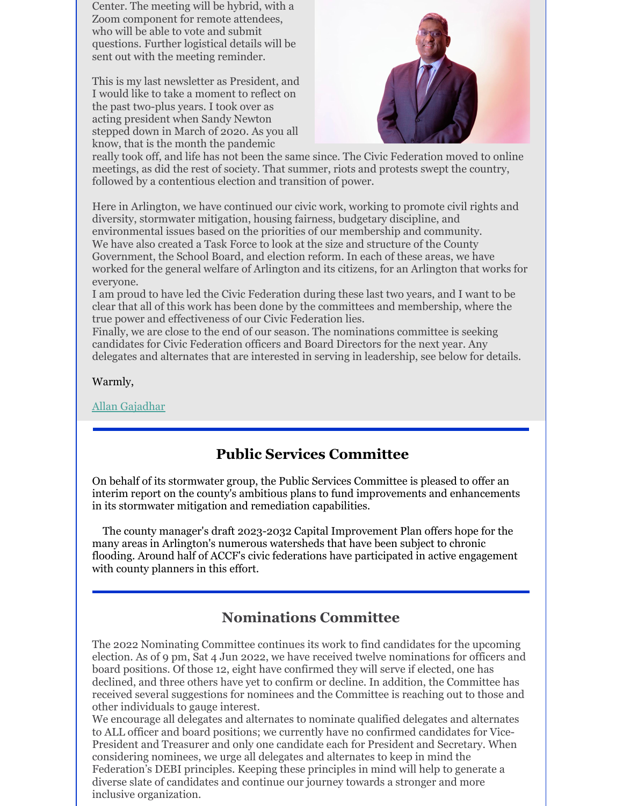Center. The meeting will be hybrid, with a Zoom component for remote attendees, who will be able to vote and submit questions. Further logistical details will be sent out with the meeting reminder.

This is my last newsletter as President, and I would like to take a moment to reflect on the past two-plus years. I took over as acting president when Sandy Newton stepped down in March of 2020. As you all know, that is the month the pandemic



really took off, and life has not been the same since. The Civic Federation moved to online meetings, as did the rest of society. That summer, riots and protests swept the country, followed by a contentious election and transition of power.

Here in Arlington, we have continued our civic work, working to promote civil rights and diversity, stormwater mitigation, housing fairness, budgetary discipline, and environmental issues based on the priorities of our membership and community. We have also created a Task Force to look at the size and structure of the County Government, the School Board, and election reform. In each of these areas, we have worked for the general welfare of Arlington and its citizens, for an Arlington that works for everyone.

I am proud to have led the Civic Federation during these last two years, and I want to be clear that all of this work has been done by the committees and membership, where the true power and effectiveness of our Civic Federation lies.

Finally, we are close to the end of our season. The nominations committee is seeking candidates for Civic Federation officers and Board Directors for the next year. Any delegates and alternates that are interested in serving in leadership, see below for details.

Warmly,

Allan [Gajadhar](mailto:president@civfed.org)

# **Public Services Committee**

On behalf of its stormwater group, the Public Services Committee is pleased to offer an interim report on the county's ambitious plans to fund improvements and enhancements in its stormwater mitigation and remediation capabilities.

The county manager's draft 2023-2032 Capital Improvement Plan offers hope for the many areas in Arlington's numerous watersheds that have been subject to chronic flooding. Around half of ACCF's civic federations have participated in active engagement with county planners in this effort.

# **Nominations Committee**

The 2022 Nominating Committee continues its work to find candidates for the upcoming election. As of 9 pm, Sat 4 Jun 2022, we have received twelve nominations for officers and board positions. Of those 12, eight have confirmed they will serve if elected, one has declined, and three others have yet to confirm or decline. In addition, the Committee has received several suggestions for nominees and the Committee is reaching out to those and other individuals to gauge interest.

We encourage all delegates and alternates to nominate qualified delegates and alternates to ALL officer and board positions; we currently have no confirmed candidates for Vice-President and Treasurer and only one candidate each for President and Secretary. When considering nominees, we urge all delegates and alternates to keep in mind the Federation's DEBI principles. Keeping these principles in mind will help to generate a diverse slate of candidates and continue our journey towards a stronger and more inclusive organization.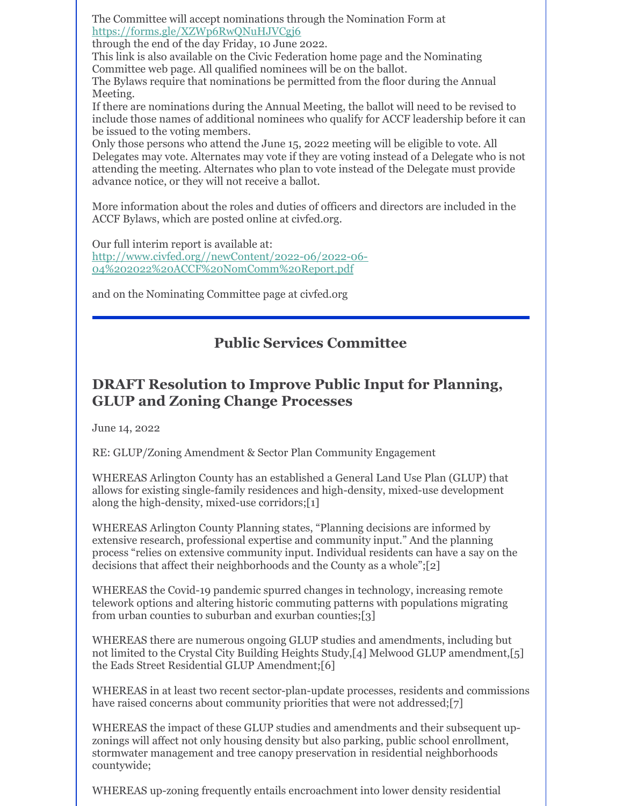The Committee will accept nominations through the Nomination Form at <https://forms.gle/XZWp6RwQNuHJVCgj6>

through the end of the day Friday, 10 June 2022.

This link is also available on the Civic Federation home page and the Nominating Committee web page. All qualified nominees will be on the ballot.

The Bylaws require that nominations be permitted from the floor during the Annual Meeting.

If there are nominations during the Annual Meeting, the ballot will need to be revised to include those names of additional nominees who qualify for ACCF leadership before it can be issued to the voting members.

Only those persons who attend the June 15, 2022 meeting will be eligible to vote. All Delegates may vote. Alternates may vote if they are voting instead of a Delegate who is not attending the meeting. Alternates who plan to vote instead of the Delegate must provide advance notice, or they will not receive a ballot.

More information about the roles and duties of officers and directors are included in the ACCF Bylaws, which are posted online at civfed.org.

Our full interim report is available at: [http://www.civfed.org//newContent/2022-06/2022-06-](http://www.civfed.org//newContent/2022-06/2022-06-04 2022 ACCF NomComm Report.pdf) 04%202022%20ACCF%20NomComm%20Report.pdf

and on the Nominating Committee page at civfed.org

# **Public Services Committee**

# **DRAFT Resolution to Improve Public Input for Planning, GLUP and Zoning Change Processes**

June 14, 2022

RE: GLUP/Zoning Amendment & Sector Plan Community Engagement

WHEREAS Arlington County has an established a General Land Use Plan (GLUP) that allows for existing single-family residences and high-density, mixed-use development along the high-density, mixed-use corridors;[1]

WHEREAS Arlington County Planning states, "Planning decisions are informed by extensive research, professional expertise and community input." And the planning process "relies on extensive community input. Individual residents can have a say on the decisions that affect their neighborhoods and the County as a whole";[2]

WHEREAS the Covid-19 pandemic spurred changes in technology, increasing remote telework options and altering historic commuting patterns with populations migrating from urban counties to suburban and exurban counties;[3]

WHEREAS there are numerous ongoing GLUP studies and amendments, including but not limited to the Crystal City Building Heights Study,[4] Melwood GLUP amendment,[5] the Eads Street Residential GLUP Amendment;[6]

WHEREAS in at least two recent sector-plan-update processes, residents and commissions have raised concerns about community priorities that were not addressed;[7]

WHEREAS the impact of these GLUP studies and amendments and their subsequent upzonings will affect not only housing density but also parking, public school enrollment, stormwater management and tree canopy preservation in residential neighborhoods countywide;

WHEREAS up-zoning frequently entails encroachment into lower density residential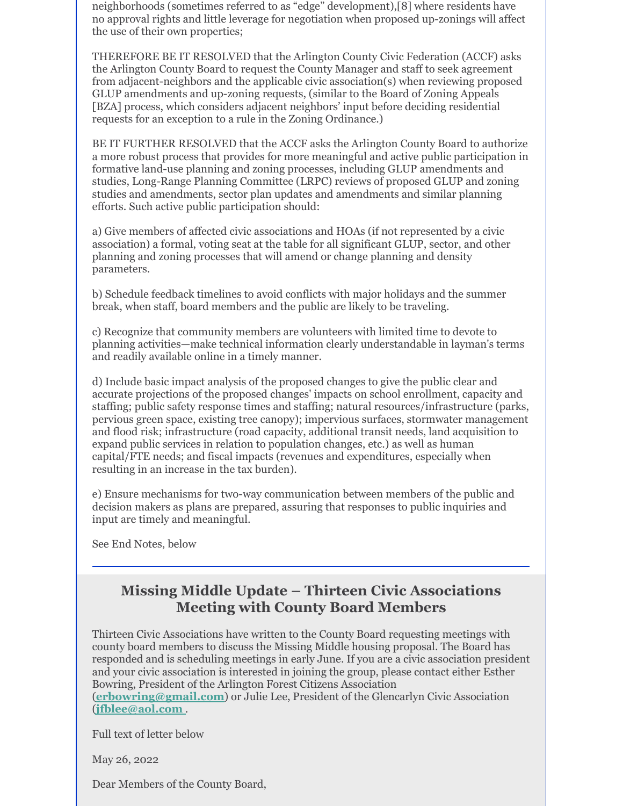neighborhoods (sometimes referred to as "edge" development),[8] where residents have no approval rights and little leverage for negotiation when proposed up-zonings will affect the use of their own properties;

THEREFORE BE IT RESOLVED that the Arlington County Civic Federation (ACCF) asks the Arlington County Board to request the County Manager and staff to seek agreement from adjacent-neighbors and the applicable civic association(s) when reviewing proposed GLUP amendments and up-zoning requests, (similar to the Board of Zoning Appeals [BZA] process, which considers adjacent neighbors' input before deciding residential requests for an exception to a rule in the Zoning Ordinance.)

BE IT FURTHER RESOLVED that the ACCF asks the Arlington County Board to authorize a more robust process that provides for more meaningful and active public participation in formative land-use planning and zoning processes, including GLUP amendments and studies, Long-Range Planning Committee (LRPC) reviews of proposed GLUP and zoning studies and amendments, sector plan updates and amendments and similar planning efforts. Such active public participation should:

a) Give members of affected civic associations and HOAs (if not represented by a civic association) a formal, voting seat at the table for all significant GLUP, sector, and other planning and zoning processes that will amend or change planning and density parameters.

b) Schedule feedback timelines to avoid conflicts with major holidays and the summer break, when staff, board members and the public are likely to be traveling.

c) Recognize that community members are volunteers with limited time to devote to planning activities—make technical information clearly understandable in layman's terms and readily available online in a timely manner.

d) Include basic impact analysis of the proposed changes to give the public clear and accurate projections of the proposed changes' impacts on school enrollment, capacity and staffing; public safety response times and staffing; natural resources/infrastructure (parks, pervious green space, existing tree canopy); impervious surfaces, stormwater management and flood risk; infrastructure (road capacity, additional transit needs, land acquisition to expand public services in relation to population changes, etc.) as well as human capital/FTE needs; and fiscal impacts (revenues and expenditures, especially when resulting in an increase in the tax burden).

e) Ensure mechanisms for two-way communication between members of the public and decision makers as plans are prepared, assuring that responses to public inquiries and input are timely and meaningful.

See End Notes, below

## **Missing Middle Update – Thirteen Civic Associations Meeting with County Board Members**

Thirteen Civic Associations have written to the County Board requesting meetings with county board members to discuss the Missing Middle housing proposal. The Board has responded and is scheduling meetings in early June. If you are a civic association president and your civic association is interested in joining the group, please contact either Esther Bowring, President of the Arlington Forest Citizens Association (**[erbowring@gmail.com](mailto:erbowring@gmail.com)**) or Julie Lee, President of the Glencarlyn Civic Association (**[jfblee@aol.com](mailto:jfblee@aol.com )** .

Full text of letter below

May 26, 2022

Dear Members of the County Board,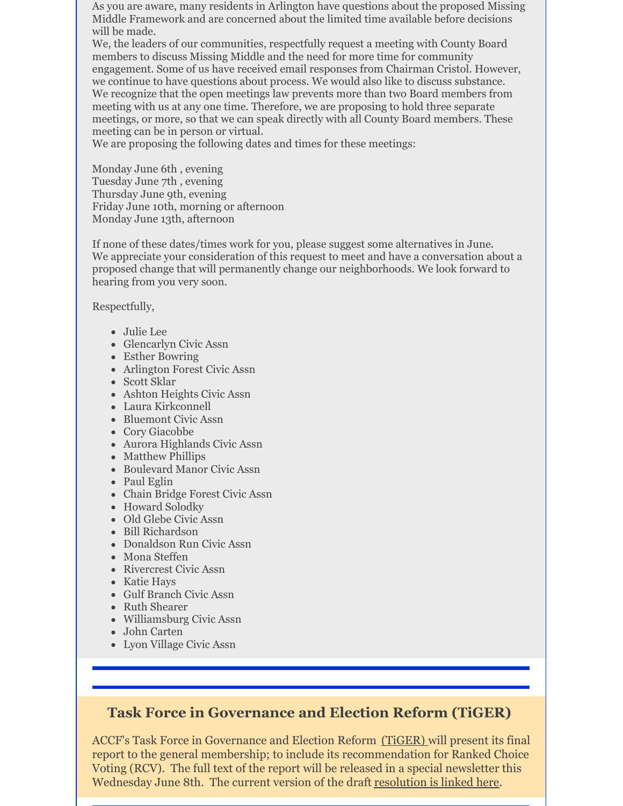As you are aware, many residents in Arlington have questions about the proposed Missing Middle Framework and are concerned about the limited time available before decisions will be made.

We, the leaders of our communities, respectfully request a meeting with County Board members to discuss Missing Middle and the need for more time for community engagement. Some of us have received email responses from Chairman Cristol. However, we continue to have questions about process. We would also like to discuss substance. We recognize that the open meetings law prevents more than two Board members from meeting with us at any one time. Therefore, we are proposing to hold three separate meetings, or more, so that we can speak directly with all County Board members. These meeting can be in person or virtual.

We are proposing the following dates and times for these meetings:

Monday June 6th , evening Tuesday June 7th , evening Thursday June 9th, evening Friday June 10th, morning or afternoon Monday June 13th, afternoon

If none of these dates/times work for you, please suggest some alternatives in June. We appreciate your consideration of this request to meet and have a conversation about a proposed change that will permanently change our neighborhoods. We look forward to hearing from you very soon.

Respectfully,

- Julie Lee
- Glencarlyn Civic Assn
- Esther Bowring
- Arlington Forest Civic Assn
- Scott Sklar
- Ashton Heights Civic Assn
- Laura Kirkconnell
- Bluemont Civic Assn
- Cory Giacobbe
- Aurora Highlands Civic Assn
- Matthew Phillips
- Boulevard Manor Civic Assn
- Paul Eglin
- Chain Bridge Forest Civic Assn
- Howard Solodky
- Old Glebe Civic Assn
- Bill Richardson
- Donaldson Run Civic Assn
- Mona Steffen
- Rivercrest Civic Assn
- Katie Hays
- Gulf Branch Civic Assn
- Ruth Shearer
- Williamsburg Civic Assn
- John Carten
- Lyon Village Civic Assn

# **Task Force in Governance and Election Reform (TiGER)**

ACCF's Task Force in Governance and Election Reform [\(TiGER\)](https://www.civfed.org/about-us/committees/tiger/) will present its final report to the general membership; to include its recommendation for Ranked Choice Voting (RCV). The full text of the report will be released in a special newsletter this Wednesday June 8th. The current version of the draft [resolution](https://files.constantcontact.com/9b2b0a78501/1a275226-83c2-4d2d-a76a-6b0fd55f9158.docx?rdr=true) is linked here.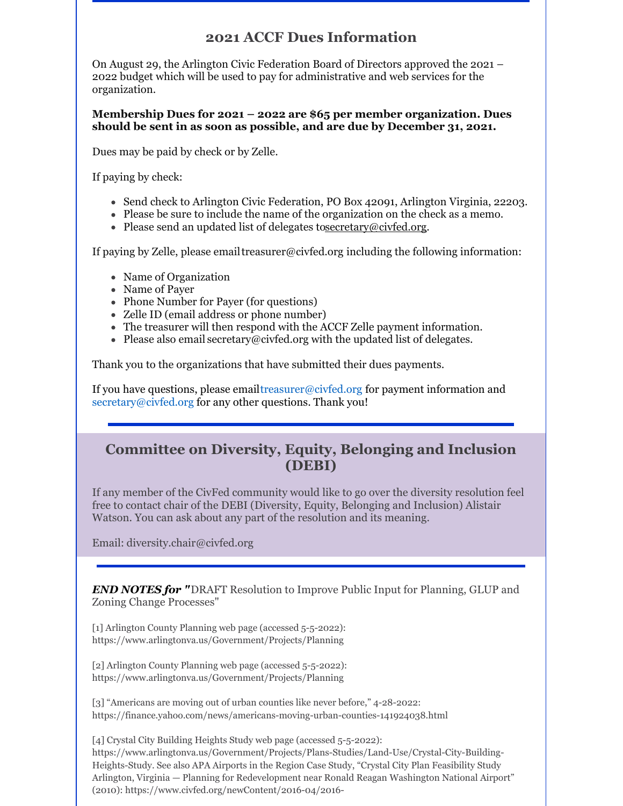## **2021 ACCF Dues Information**

On August 29, the Arlington Civic Federation Board of Directors approved the 2021 – 2022 budget which will be used to pay for administrative and web services for the organization.

**Membership Dues for 2021 – 2022 are \$65 per member organization. Dues should be sent in as soon as possible, and are due by December 31, 2021.**

Dues may be paid by check or by Zelle.

If paying by check:

- Send check to Arlington Civic Federation, PO Box 42091, Arlington Virginia, 22203.
- Please be sure to include the name of the organization on the check as a memo.
- Please send an updated list of delegates t[osecretary@civfed.org](mailto:secretary@civfed.org).

If paying by Zelle, please email[treasurer@civfed.org](mailto:treasurer@civfed.org) including the following information:

- Name of Organization
- Name of Payer
- Phone Number for Payer (for questions)
- Zelle ID (email address or phone number)
- The treasurer will then respond with the ACCF Zelle payment information.
- Please also email [secretary@civfed.org](mailto:secretary@civfed.org) with the updated list of delegates.

Thank you to the organizations that have submitted their dues payments.

If you have questions, please emai[ltreasurer@civfed.org](mailto:treasurer@civfed.org) for payment information and [secretary@civfed.org](mailto:secretary@civfed.org) for any other questions. Thank you!

## **Committee on Diversity, Equity, Belonging and Inclusion (DEBI)**

If any member of the CivFed community would like to go over the diversity resolution feel free to contact chair of the DEBI (Diversity, Equity, Belonging and Inclusion) Alistair Watson. You can ask about any part of the resolution and its meaning.

Email: diversity.chair@civfed.org

*END NOTES for "*DRAFT Resolution to Improve Public Input for Planning, GLUP and Zoning Change Processes"

[1] Arlington County Planning web page (accessed 5-5-2022): https://www.arlingtonva.us/Government/Projects/Planning

[2] Arlington County Planning web page (accessed 5-5-2022): https://www.arlingtonva.us/Government/Projects/Planning

[3] "Americans are moving out of urban counties like never before," 4-28-2022: https://finance.yahoo.com/news/americans-moving-urban-counties-141924038.html

[4] Crystal City Building Heights Study web page (accessed 5-5-2022): https://www.arlingtonva.us/Government/Projects/Plans-Studies/Land-Use/Crystal-City-Building-Heights-Study. See also APA Airports in the Region Case Study, "Crystal City Plan Feasibility Study Arlington, Virginia — Planning for Redevelopment near Ronald Reagan Washington National Airport" (2010): https://www.civfed.org/newContent/2016-04/2016-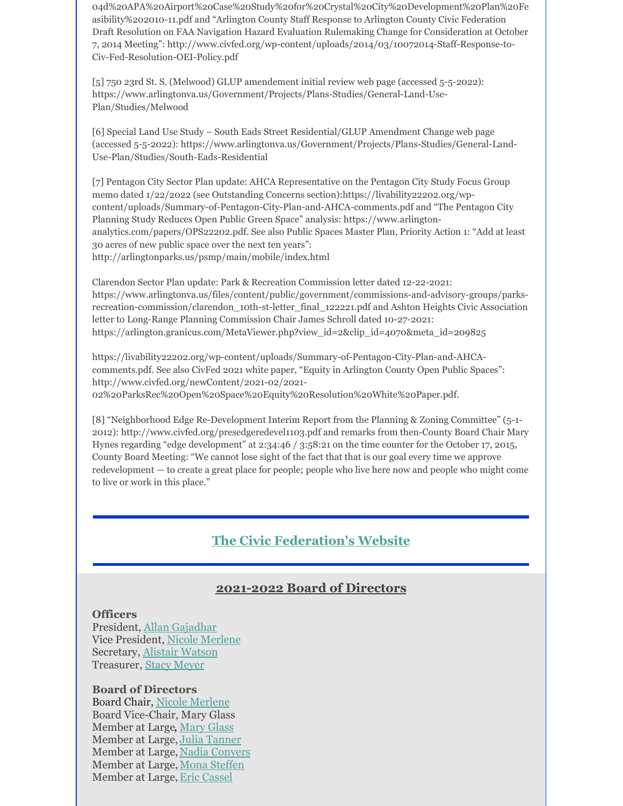04d%20APA%20Airport%20Case%20Study%20for%20Crystal%20City%20Development%20Plan%20Fe asibility%202010-11.pdf and "Arlington County Staff Response to Arlington County Civic Federation Draft Resolution on FAA Navigation Hazard Evaluation Rulemaking Change for Consideration at October 7, 2014 Meeting": http://www.civfed.org/wp-content/uploads/2014/03/10072014-Staff-Response-to-Civ-Fed-Resolution-OEI-Policy.pdf

[5] 750 23rd St. S. (Melwood) GLUP amendement initial review web page (accessed 5-5-2022): https://www.arlingtonva.us/Government/Projects/Plans-Studies/General-Land-Use-Plan/Studies/Melwood

[6] Special Land Use Study – South Eads Street Residential/GLUP Amendment Change web page (accessed 5-5-2022): https://www.arlingtonva.us/Government/Projects/Plans-Studies/General-Land-Use-Plan/Studies/South-Eads-Residential

[7] Pentagon City Sector Plan update: AHCA Representative on the Pentagon City Study Focus Group memo dated 1/22/2022 (see Outstanding Concerns section):https://livability22202.org/wpcontent/uploads/Summary-of-Pentagon-City-Plan-and-AHCA-comments.pdf and "The Pentagon City Planning Study Reduces Open Public Green Space" analysis: https://www.arlingtonanalytics.com/papers/OPS22202.pdf. See also Public Spaces Master Plan, Priority Action 1: "Add at least 30 acres of new public space over the next ten years": http://arlingtonparks.us/psmp/main/mobile/index.html

Clarendon Sector Plan update: Park & Recreation Commission letter dated 12-22-2021: https://www.arlingtonva.us/files/content/public/government/commissions-and-advisory-groups/parksrecreation-commission/clarendon\_10th-st-letter\_final\_122221.pdf and Ashton Heights Civic Association letter to Long-Range Planning Commission Chair James Schroll dated 10-27-2021: https://arlington.granicus.com/MetaViewer.php?view\_id=2&clip\_id=4070&meta\_id=209825

https://livability22202.org/wp-content/uploads/Summary-of-Pentagon-City-Plan-and-AHCAcomments.pdf. See also CivFed 2021 white paper, "Equity in Arlington County Open Public Spaces": http://www.civfed.org/newContent/2021-02/2021- 02%20ParksRec%20Open%20Space%20Equity%20Resolution%20White%20Paper.pdf.

[8] "Neighborhood Edge Re-Development Interim Report from the Planning & Zoning Committee" (5-1- 2012): http://www.civfed.org/presedgeredevel1103.pdf and remarks from then-County Board Chair Mary Hynes regarding "edge development" at 2:34:46 / 3:58:21 on the time counter for the October 17, 2015, County Board Meeting: "We cannot lose sight of the fact that that is our goal every time we approve redevelopment — to create a great place for people; people who live here now and people who might come to live or work in this place."

#### **The Civic [Federation's](http://www.civfed.org/) Website**

#### **2021-2022 Board of Directors**

#### **Officers**

President, Allan [Gajadhar](mailto:president@civfed.org) Vice President, Nicole [Merlene](mailto:bod.member6@civfed.org) Secretary, Alistair [Watson](mailto:secretary@civfed.org) Treasurer, Stacy [Meyer](mailto:bod.member3@civfed.org)

**Board of Directors** Board Chair, Nicole [Merlene](mailto:bod.member6@civfed.org) Board Vice-Chair, Mary Glass Member at Large, [Mary](mailto:mglassmail1@gmail.com) Glass Member at Large, Julia [Tanner](mailto:jktanner1@gmail.com) Member at Large, Nadia [Conyers](mailto:nadiagreen@hotmail.com) Member at Large, Mona [Steffen](mailto:steffenmona@gmail.com) Member at Large, Eric [Cassel](mailto:bod.member1@civfed.org)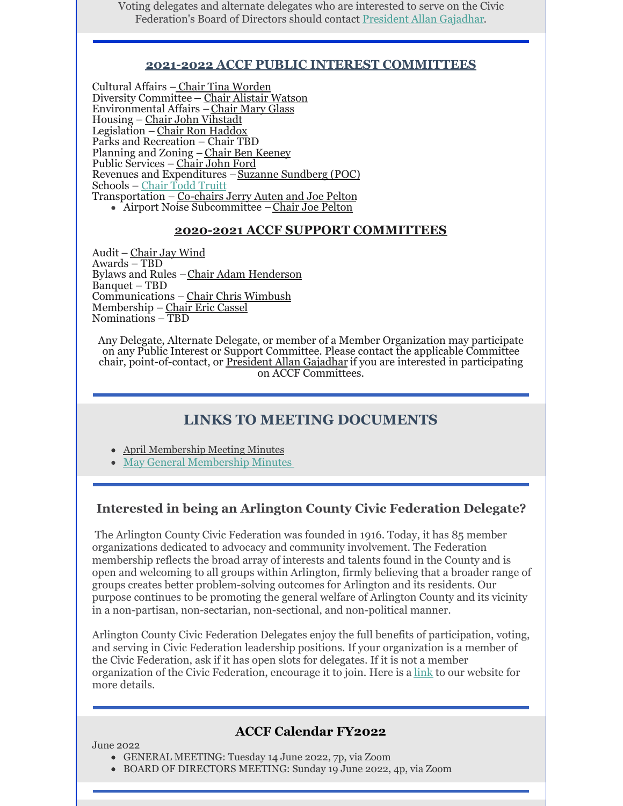Voting delegates and alternate delegates who are interested to serve on the Civic Federation's Board of Directors should contact [President](mailto:president@civfed.org) Allan Gajadhar.

#### **2021-2022 ACCF PUBLIC INTEREST COMMITTEES**

Cultural Affairs – Chair Tina [Worden](mailto:cultural.affairs.chair@civfed.org) Diversity Committee**–** Chair Alistair [Watson](mailto:diversity.chair@civfed.org) Environmental Affairs –[Chair](mailto:environmental.affairs.chair@civfed.org) Mary Glass Housing – Chair John [Vihstadt](mailto:housing.chair@civfed.org) Legislation – Chair Ron [Haddox](mailto:legislation.chair@civfed.org) Parks and Recreation – Chair TBD Planning and Zoning – Chair Ben [Keeney](mailto:plan.zone.chair@civfed.org) Public Services – [Chair](mailto:public.services.chair@civfed.org) John Ford Revenues and Expenditures - Suzanne Sundberg (POC) Schools – [Chair](mailto:toddetruitt@yahoo.com) Todd Truitt Transportation – [Co-chairs](mailto:transport.chair@civfed.org) Jerry Auten and Joe Pelton Airport Noise Subcommittee –Chair Joe [Pelton](mailto:airport.noise@civfed.org;)

#### **2020-2021 ACCF SUPPORT COMMITTEES**

Audit – [Chair](mailto:jay@civfed.org) Jay Wind Awards – TBD Bylaws and Rules –Chair Adam [Henderson](mailto:adam@arhenderson.net) Banquet – TBD Communications – Chair Chris [Wimbush](http://bod.member6@civfed.org) Membership – Chair Eric [Cassel](mailto:bod.chair@civfed.org) Nominations – TBD

Any Delegate, Alternate Delegate, or member of a Member Organization may participate on any Public Interest or Support Committee. Please contact the applicable Committee chair, point-of-contact, or [President](mailto:president@civfed.org) Allan Gajadhar if you are interested in participating on ACCF Committees.

#### **LINKS TO MEETING [DOCUMENTS](https://files.constantcontact.com/9b2b0a78501/6be29924-5bac-4dad-a54a-6cd8f7b7d71b.docx?rdr=true)**

- April [Membership](https://files.constantcontact.com/9b2b0a78501/2211d59a-9ecf-4970-8943-d32aa9ec1c82.pdf?rdr=true) Meeting Minutes
- May General [Membership](https://files.constantcontact.com/9b2b0a78501/4dac1e5f-cda2-47cc-a0c6-cb28c5e42e9c.pdf?rdr=true) Minutes

#### **Interested in being an Arlington County Civic Federation Delegate?**

The Arlington County Civic Federation was founded in 1916. Today, it has 85 member organizations dedicated to advocacy and community involvement. The Federation membership reflects the broad array of interests and talents found in the County and is open and welcoming to all groups within Arlington, firmly believing that a broader range of groups creates better problem-solving outcomes for Arlington and its residents. Our purpose continues to be promoting the general welfare of Arlington County and its vicinity in a non-partisan, non-sectarian, non-sectional, and non-political manner.

Arlington County Civic Federation Delegates enjoy the full benefits of participation, voting, and serving in Civic Federation leadership positions. If your organization is a member of the Civic Federation, ask if it has open slots for delegates. If it is not a member organization of the Civic Federation, encourage it to join. Here is a [link](http://www.civfed.org/) to our website for more details.

#### **ACCF Calendar FY2022**

#### June 2022

- GENERAL MEETING: Tuesday 14 June 2022, 7p, via Zoom
- BOARD OF DIRECTORS MEETING: Sunday 19 June 2022, 4p, via Zoom